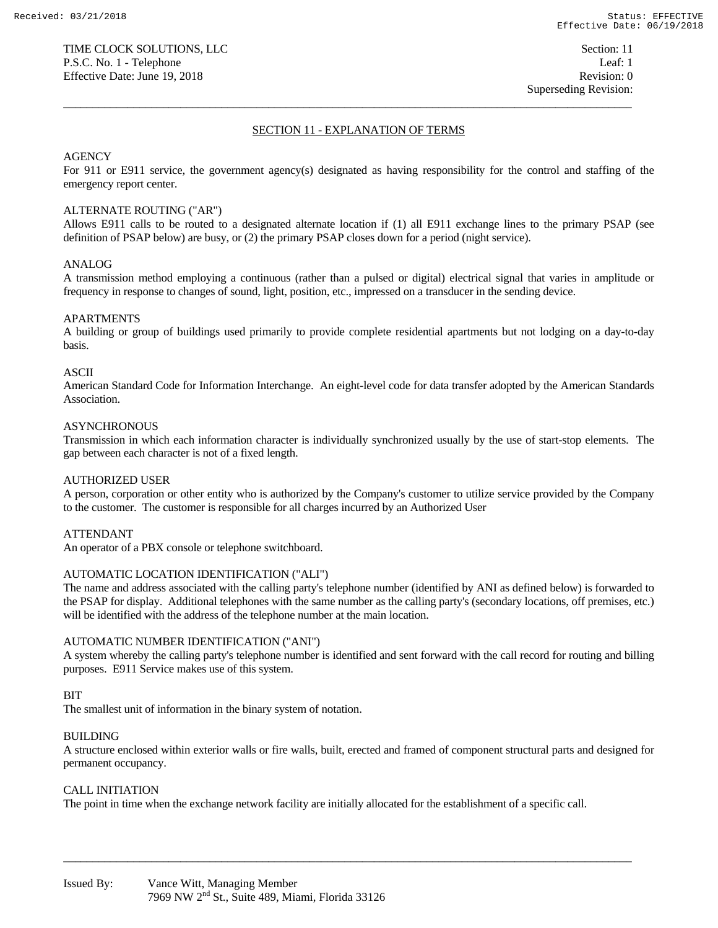### SECTION 11 - EXPLANATION OF TERMS

 $\overline{a_1}$  ,  $\overline{a_2}$  ,  $\overline{a_3}$  ,  $\overline{a_4}$  ,  $\overline{a_5}$  ,  $\overline{a_6}$  ,  $\overline{a_7}$  ,  $\overline{a_8}$  ,  $\overline{a_9}$  ,  $\overline{a_9}$  ,  $\overline{a_9}$  ,  $\overline{a_9}$  ,  $\overline{a_9}$  ,  $\overline{a_9}$  ,  $\overline{a_9}$  ,  $\overline{a_9}$  ,  $\overline{a_9}$  ,

# AGENCY

For 911 or E911 service, the government agency(s) designated as having responsibility for the control and staffing of the emergency report center.

### ALTERNATE ROUTING ("AR")

Allows E911 calls to be routed to a designated alternate location if (1) all E911 exchange lines to the primary PSAP (see definition of PSAP below) are busy, or (2) the primary PSAP closes down for a period (night service).

### ANALOG

A transmission method employing a continuous (rather than a pulsed or digital) electrical signal that varies in amplitude or frequency in response to changes of sound, light, position, etc., impressed on a transducer in the sending device.

### APARTMENTS

A building or group of buildings used primarily to provide complete residential apartments but not lodging on a day-to-day basis.

### ASCII

American Standard Code for Information Interchange. An eight-level code for data transfer adopted by the American Standards Association.

### **ASYNCHRONOUS**

Transmission in which each information character is individually synchronized usually by the use of start-stop elements. The gap between each character is not of a fixed length.

### AUTHORIZED USER

A person, corporation or other entity who is authorized by the Company's customer to utilize service provided by the Company to the customer. The customer is responsible for all charges incurred by an Authorized User

### ATTENDANT

An operator of a PBX console or telephone switchboard.

### AUTOMATIC LOCATION IDENTIFICATION ("ALI")

The name and address associated with the calling party's telephone number (identified by ANI as defined below) is forwarded to the PSAP for display. Additional telephones with the same number as the calling party's (secondary locations, off premises, etc.) will be identified with the address of the telephone number at the main location.

### AUTOMATIC NUMBER IDENTIFICATION ("ANI")

A system whereby the calling party's telephone number is identified and sent forward with the call record for routing and billing purposes. E911 Service makes use of this system.

### BIT

The smallest unit of information in the binary system of notation.

### BUILDING

A structure enclosed within exterior walls or fire walls, built, erected and framed of component structural parts and designed for permanent occupancy.

 $\overline{a_1}$  ,  $\overline{a_2}$  ,  $\overline{a_3}$  ,  $\overline{a_4}$  ,  $\overline{a_5}$  ,  $\overline{a_6}$  ,  $\overline{a_7}$  ,  $\overline{a_8}$  ,  $\overline{a_9}$  ,  $\overline{a_9}$  ,  $\overline{a_9}$  ,  $\overline{a_9}$  ,  $\overline{a_9}$  ,  $\overline{a_9}$  ,  $\overline{a_9}$  ,  $\overline{a_9}$  ,  $\overline{a_9}$  ,

### CALL INITIATION

The point in time when the exchange network facility are initially allocated for the establishment of a specific call.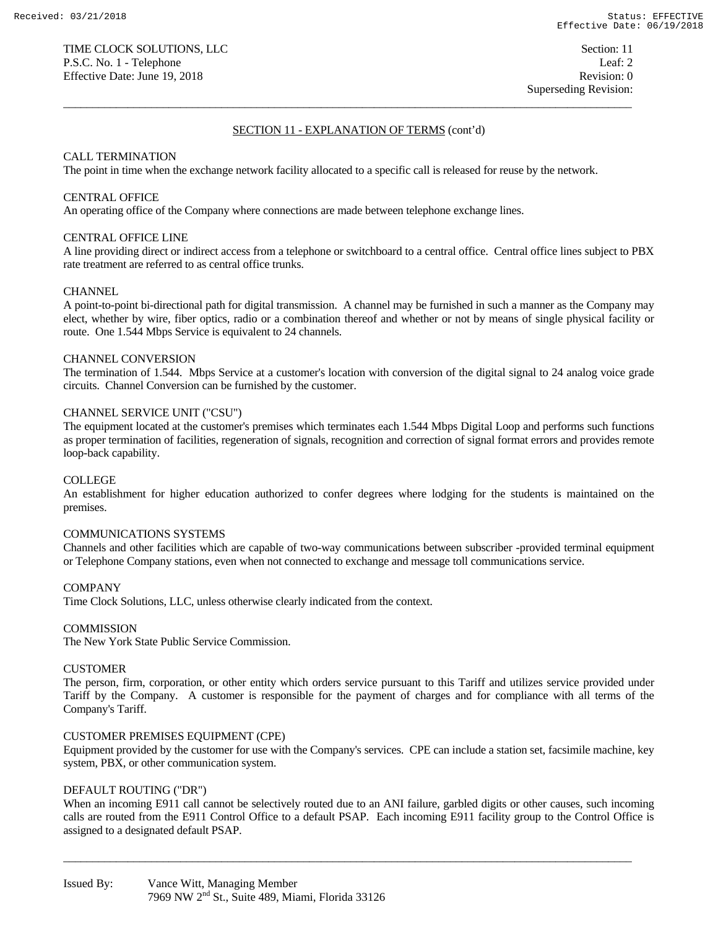$\overline{a_1}$  ,  $\overline{a_2}$  ,  $\overline{a_3}$  ,  $\overline{a_4}$  ,  $\overline{a_5}$  ,  $\overline{a_6}$  ,  $\overline{a_7}$  ,  $\overline{a_8}$  ,  $\overline{a_9}$  ,  $\overline{a_9}$  ,  $\overline{a_9}$  ,  $\overline{a_9}$  ,  $\overline{a_9}$  ,  $\overline{a_9}$  ,  $\overline{a_9}$  ,  $\overline{a_9}$  ,  $\overline{a_9}$  ,

# CALL TERMINATION

The point in time when the exchange network facility allocated to a specific call is released for reuse by the network.

### CENTRAL OFFICE

An operating office of the Company where connections are made between telephone exchange lines.

#### CENTRAL OFFICE LINE

A line providing direct or indirect access from a telephone or switchboard to a central office. Central office lines subject to PBX rate treatment are referred to as central office trunks.

#### **CHANNEL**

A point-to-point bi-directional path for digital transmission. A channel may be furnished in such a manner as the Company may elect, whether by wire, fiber optics, radio or a combination thereof and whether or not by means of single physical facility or route. One 1.544 Mbps Service is equivalent to 24 channels.

#### CHANNEL CONVERSION

The termination of 1.544. Mbps Service at a customer's location with conversion of the digital signal to 24 analog voice grade circuits. Channel Conversion can be furnished by the customer.

# CHANNEL SERVICE UNIT ("CSU")

The equipment located at the customer's premises which terminates each 1.544 Mbps Digital Loop and performs such functions as proper termination of facilities, regeneration of signals, recognition and correction of signal format errors and provides remote loop-back capability.

### COLLEGE

An establishment for higher education authorized to confer degrees where lodging for the students is maintained on the premises.

#### COMMUNICATIONS SYSTEMS

Channels and other facilities which are capable of two-way communications between subscriber -provided terminal equipment or Telephone Company stations, even when not connected to exchange and message toll communications service.

#### COMPANY

Time Clock Solutions, LLC, unless otherwise clearly indicated from the context.

#### **COMMISSION**

The New York State Public Service Commission.

### CUSTOMER

The person, firm, corporation, or other entity which orders service pursuant to this Tariff and utilizes service provided under Tariff by the Company. A customer is responsible for the payment of charges and for compliance with all terms of the Company's Tariff.

#### CUSTOMER PREMISES EQUIPMENT (CPE)

Equipment provided by the customer for use with the Company's services. CPE can include a station set, facsimile machine, key system, PBX, or other communication system.

#### DEFAULT ROUTING ("DR")

When an incoming E911 call cannot be selectively routed due to an ANI failure, garbled digits or other causes, such incoming calls are routed from the E911 Control Office to a default PSAP. Each incoming E911 facility group to the Control Office is assigned to a designated default PSAP.

 $\overline{a_1}$  ,  $\overline{a_2}$  ,  $\overline{a_3}$  ,  $\overline{a_4}$  ,  $\overline{a_5}$  ,  $\overline{a_6}$  ,  $\overline{a_7}$  ,  $\overline{a_8}$  ,  $\overline{a_9}$  ,  $\overline{a_9}$  ,  $\overline{a_9}$  ,  $\overline{a_9}$  ,  $\overline{a_9}$  ,  $\overline{a_9}$  ,  $\overline{a_9}$  ,  $\overline{a_9}$  ,  $\overline{a_9}$  ,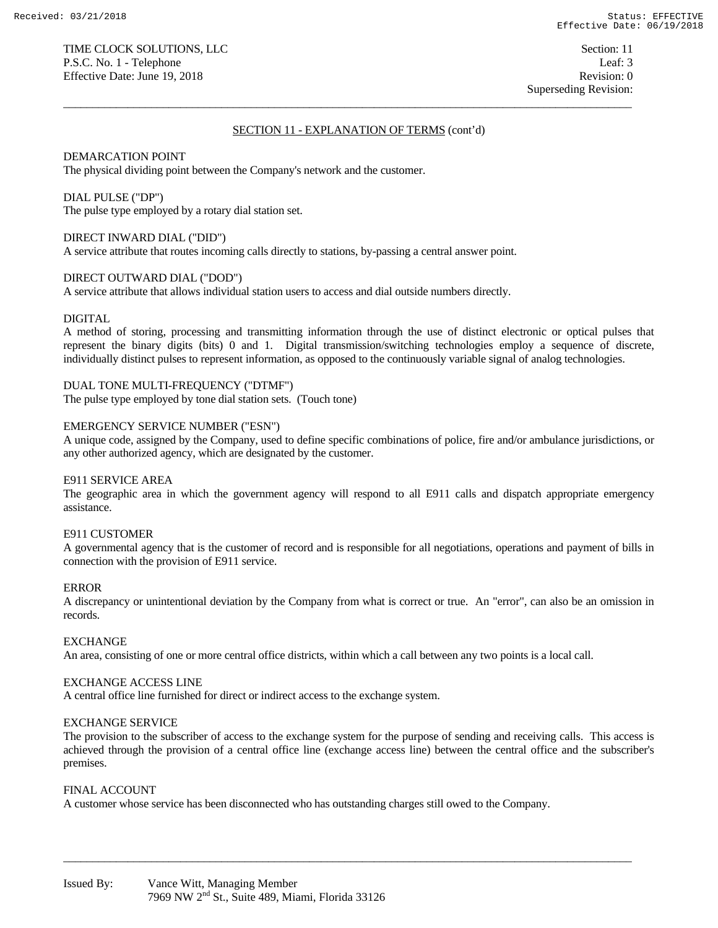$\overline{a_1}$  ,  $\overline{a_2}$  ,  $\overline{a_3}$  ,  $\overline{a_4}$  ,  $\overline{a_5}$  ,  $\overline{a_6}$  ,  $\overline{a_7}$  ,  $\overline{a_8}$  ,  $\overline{a_9}$  ,  $\overline{a_9}$  ,  $\overline{a_9}$  ,  $\overline{a_9}$  ,  $\overline{a_9}$  ,  $\overline{a_9}$  ,  $\overline{a_9}$  ,  $\overline{a_9}$  ,  $\overline{a_9}$  ,

# DEMARCATION POINT

The physical dividing point between the Company's network and the customer.

### DIAL PULSE ("DP")

The pulse type employed by a rotary dial station set.

# DIRECT INWARD DIAL ("DID")

A service attribute that routes incoming calls directly to stations, by-passing a central answer point.

# DIRECT OUTWARD DIAL ("DOD")

A service attribute that allows individual station users to access and dial outside numbers directly.

### DIGITAL

A method of storing, processing and transmitting information through the use of distinct electronic or optical pulses that represent the binary digits (bits) 0 and 1. Digital transmission/switching technologies employ a sequence of discrete, individually distinct pulses to represent information, as opposed to the continuously variable signal of analog technologies.

DUAL TONE MULTI-FREQUENCY ("DTMF") The pulse type employed by tone dial station sets. (Touch tone)

### EMERGENCY SERVICE NUMBER ("ESN")

A unique code, assigned by the Company, used to define specific combinations of police, fire and/or ambulance jurisdictions, or any other authorized agency, which are designated by the customer.

### E911 SERVICE AREA

The geographic area in which the government agency will respond to all E911 calls and dispatch appropriate emergency assistance.

### E911 CUSTOMER

A governmental agency that is the customer of record and is responsible for all negotiations, operations and payment of bills in connection with the provision of E911 service.

# ERROR

A discrepancy or unintentional deviation by the Company from what is correct or true. An "error", can also be an omission in records.

### EXCHANGE

An area, consisting of one or more central office districts, within which a call between any two points is a local call.

### EXCHANGE ACCESS LINE

A central office line furnished for direct or indirect access to the exchange system.

### EXCHANGE SERVICE

The provision to the subscriber of access to the exchange system for the purpose of sending and receiving calls. This access is achieved through the provision of a central office line (exchange access line) between the central office and the subscriber's premises.

 $\overline{a_1}$  ,  $\overline{a_2}$  ,  $\overline{a_3}$  ,  $\overline{a_4}$  ,  $\overline{a_5}$  ,  $\overline{a_6}$  ,  $\overline{a_7}$  ,  $\overline{a_8}$  ,  $\overline{a_9}$  ,  $\overline{a_9}$  ,  $\overline{a_9}$  ,  $\overline{a_9}$  ,  $\overline{a_9}$  ,  $\overline{a_9}$  ,  $\overline{a_9}$  ,  $\overline{a_9}$  ,  $\overline{a_9}$  ,

### FINAL ACCOUNT

A customer whose service has been disconnected who has outstanding charges still owed to the Company.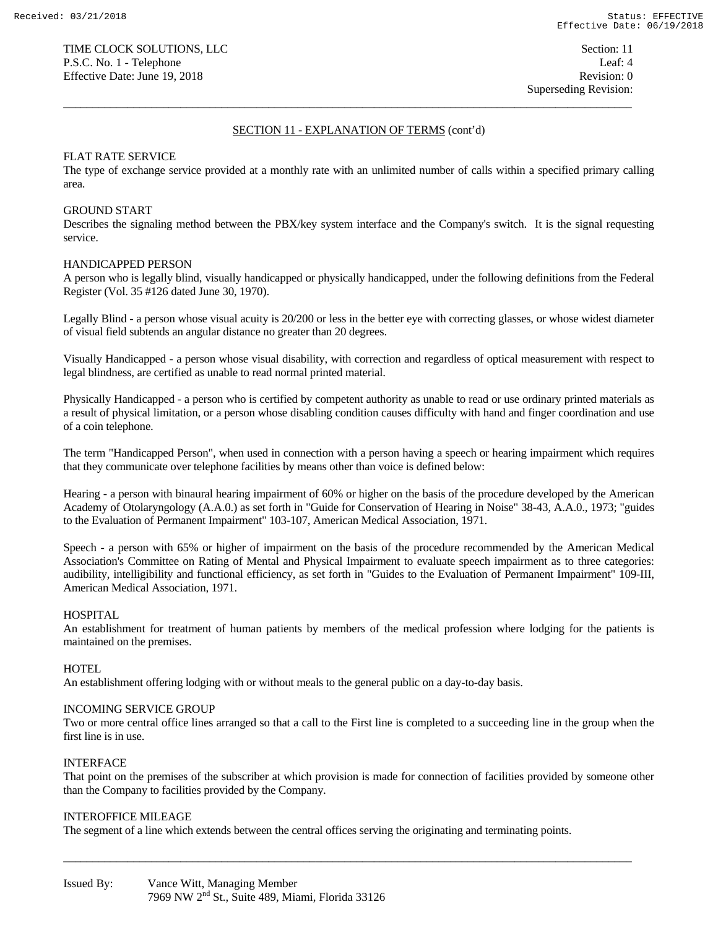$\overline{a_1}$  ,  $\overline{a_2}$  ,  $\overline{a_3}$  ,  $\overline{a_4}$  ,  $\overline{a_5}$  ,  $\overline{a_6}$  ,  $\overline{a_7}$  ,  $\overline{a_8}$  ,  $\overline{a_9}$  ,  $\overline{a_9}$  ,  $\overline{a_9}$  ,  $\overline{a_9}$  ,  $\overline{a_9}$  ,  $\overline{a_9}$  ,  $\overline{a_9}$  ,  $\overline{a_9}$  ,  $\overline{a_9}$  ,

### FLAT RATE SERVICE

The type of exchange service provided at a monthly rate with an unlimited number of calls within a specified primary calling area.

#### GROUND START

Describes the signaling method between the PBX/key system interface and the Company's switch. It is the signal requesting service.

#### HANDICAPPED PERSON

A person who is legally blind, visually handicapped or physically handicapped, under the following definitions from the Federal Register (Vol. 35 #126 dated June 30, 1970).

Legally Blind - a person whose visual acuity is 20/200 or less in the better eye with correcting glasses, or whose widest diameter of visual field subtends an angular distance no greater than 20 degrees.

Visually Handicapped - a person whose visual disability, with correction and regardless of optical measurement with respect to legal blindness, are certified as unable to read normal printed material.

Physically Handicapped - a person who is certified by competent authority as unable to read or use ordinary printed materials as a result of physical limitation, or a person whose disabling condition causes difficulty with hand and finger coordination and use of a coin telephone.

The term "Handicapped Person", when used in connection with a person having a speech or hearing impairment which requires that they communicate over telephone facilities by means other than voice is defined below:

Hearing - a person with binaural hearing impairment of 60% or higher on the basis of the procedure developed by the American Academy of Otolaryngology (A.A.0.) as set forth in "Guide for Conservation of Hearing in Noise" 38-43, A.A.0., 1973; "guides to the Evaluation of Permanent Impairment" 103-107, American Medical Association, 1971.

Speech - a person with 65% or higher of impairment on the basis of the procedure recommended by the American Medical Association's Committee on Rating of Mental and Physical Impairment to evaluate speech impairment as to three categories: audibility, intelligibility and functional efficiency, as set forth in "Guides to the Evaluation of Permanent Impairment" 109-III, American Medical Association, 1971.

### HOSPITAL

An establishment for treatment of human patients by members of the medical profession where lodging for the patients is maintained on the premises.

#### HOTEL.

An establishment offering lodging with or without meals to the general public on a day-to-day basis.

### INCOMING SERVICE GROUP

Two or more central office lines arranged so that a call to the First line is completed to a succeeding line in the group when the first line is in use.

### INTERFACE

That point on the premises of the subscriber at which provision is made for connection of facilities provided by someone other than the Company to facilities provided by the Company.

 $\overline{a_1}$  ,  $\overline{a_2}$  ,  $\overline{a_3}$  ,  $\overline{a_4}$  ,  $\overline{a_5}$  ,  $\overline{a_6}$  ,  $\overline{a_7}$  ,  $\overline{a_8}$  ,  $\overline{a_9}$  ,  $\overline{a_9}$  ,  $\overline{a_9}$  ,  $\overline{a_9}$  ,  $\overline{a_9}$  ,  $\overline{a_9}$  ,  $\overline{a_9}$  ,  $\overline{a_9}$  ,  $\overline{a_9}$  ,

#### INTEROFFICE MILEAGE

The segment of a line which extends between the central offices serving the originating and terminating points.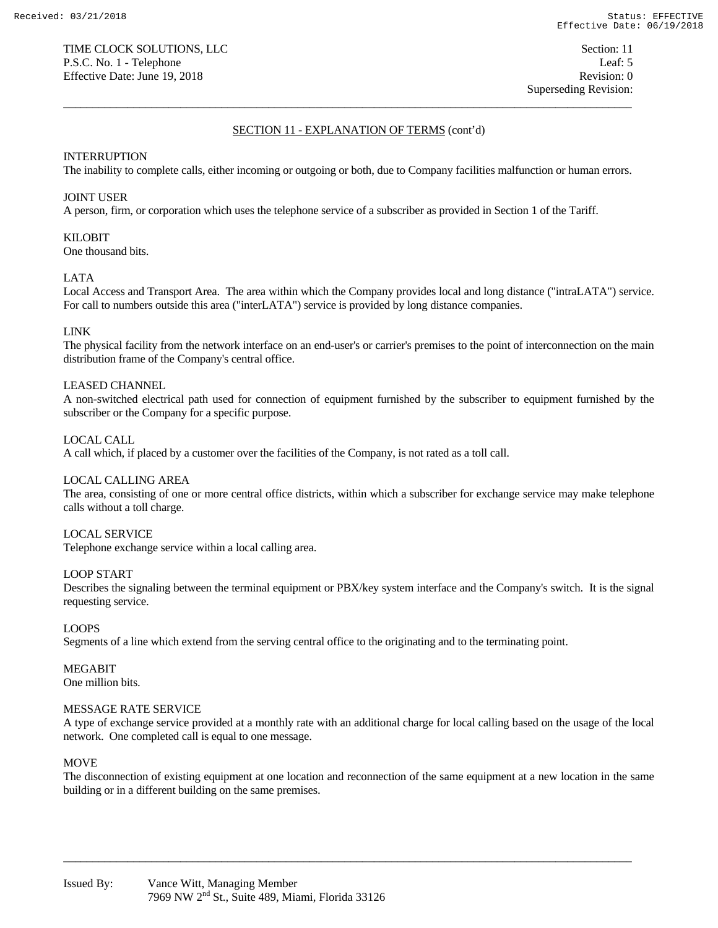# INTERRUPTION

The inability to complete calls, either incoming or outgoing or both, due to Company facilities malfunction or human errors.

 $\overline{a_1}$  ,  $\overline{a_2}$  ,  $\overline{a_3}$  ,  $\overline{a_4}$  ,  $\overline{a_5}$  ,  $\overline{a_6}$  ,  $\overline{a_7}$  ,  $\overline{a_8}$  ,  $\overline{a_9}$  ,  $\overline{a_9}$  ,  $\overline{a_9}$  ,  $\overline{a_9}$  ,  $\overline{a_9}$  ,  $\overline{a_9}$  ,  $\overline{a_9}$  ,  $\overline{a_9}$  ,  $\overline{a_9}$  ,

# JOINT USER

A person, firm, or corporation which uses the telephone service of a subscriber as provided in Section 1 of the Tariff.

# KILOBIT

One thousand bits.

### LATA

Local Access and Transport Area. The area within which the Company provides local and long distance ("intraLATA") service. For call to numbers outside this area ("interLATA") service is provided by long distance companies.

# LINK

The physical facility from the network interface on an end-user's or carrier's premises to the point of interconnection on the main distribution frame of the Company's central office.

# LEASED CHANNEL

A non-switched electrical path used for connection of equipment furnished by the subscriber to equipment furnished by the subscriber or the Company for a specific purpose.

# LOCAL CALL

A call which, if placed by a customer over the facilities of the Company, is not rated as a toll call.

### LOCAL CALLING AREA

The area, consisting of one or more central office districts, within which a subscriber for exchange service may make telephone calls without a toll charge.

### LOCAL SERVICE

Telephone exchange service within a local calling area.

### LOOP START

Describes the signaling between the terminal equipment or PBX/key system interface and the Company's switch. It is the signal requesting service.

### LOOPS

Segments of a line which extend from the serving central office to the originating and to the terminating point.

MEGABIT One million bits.

### MESSAGE RATE SERVICE

A type of exchange service provided at a monthly rate with an additional charge for local calling based on the usage of the local network. One completed call is equal to one message.

### MOVE

The disconnection of existing equipment at one location and reconnection of the same equipment at a new location in the same building or in a different building on the same premises.

 $\overline{a_1}$  ,  $\overline{a_2}$  ,  $\overline{a_3}$  ,  $\overline{a_4}$  ,  $\overline{a_5}$  ,  $\overline{a_6}$  ,  $\overline{a_7}$  ,  $\overline{a_8}$  ,  $\overline{a_9}$  ,  $\overline{a_9}$  ,  $\overline{a_9}$  ,  $\overline{a_9}$  ,  $\overline{a_9}$  ,  $\overline{a_9}$  ,  $\overline{a_9}$  ,  $\overline{a_9}$  ,  $\overline{a_9}$  ,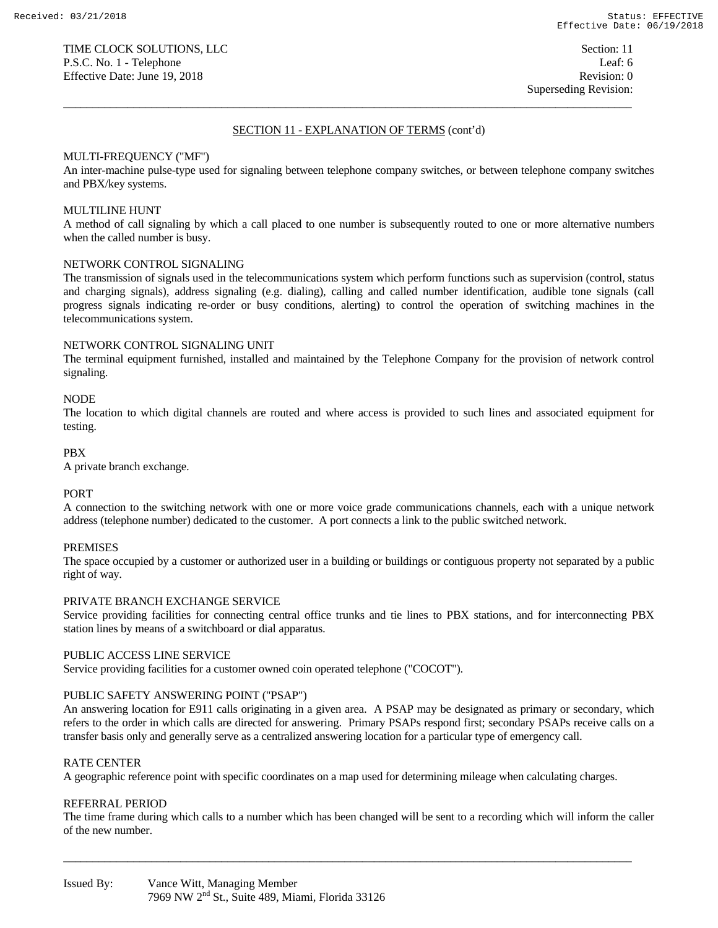$\overline{a_1}$  ,  $\overline{a_2}$  ,  $\overline{a_3}$  ,  $\overline{a_4}$  ,  $\overline{a_5}$  ,  $\overline{a_6}$  ,  $\overline{a_7}$  ,  $\overline{a_8}$  ,  $\overline{a_9}$  ,  $\overline{a_9}$  ,  $\overline{a_9}$  ,  $\overline{a_9}$  ,  $\overline{a_9}$  ,  $\overline{a_9}$  ,  $\overline{a_9}$  ,  $\overline{a_9}$  ,  $\overline{a_9}$  ,

# MULTI-FREQUENCY ("MF")

An inter-machine pulse-type used for signaling between telephone company switches, or between telephone company switches and PBX/key systems.

### MULTILINE HUNT

A method of call signaling by which a call placed to one number is subsequently routed to one or more alternative numbers when the called number is busy.

### NETWORK CONTROL SIGNALING

The transmission of signals used in the telecommunications system which perform functions such as supervision (control, status and charging signals), address signaling (e.g. dialing), calling and called number identification, audible tone signals (call progress signals indicating re-order or busy conditions, alerting) to control the operation of switching machines in the telecommunications system.

### NETWORK CONTROL SIGNALING UNIT

The terminal equipment furnished, installed and maintained by the Telephone Company for the provision of network control signaling.

### **NODE**

The location to which digital channels are routed and where access is provided to such lines and associated equipment for testing.

### PBX

A private branch exchange.

### **PORT**

A connection to the switching network with one or more voice grade communications channels, each with a unique network address (telephone number) dedicated to the customer. A port connects a link to the public switched network.

### PREMISES

The space occupied by a customer or authorized user in a building or buildings or contiguous property not separated by a public right of way.

### PRIVATE BRANCH EXCHANGE SERVICE

Service providing facilities for connecting central office trunks and tie lines to PBX stations, and for interconnecting PBX station lines by means of a switchboard or dial apparatus.

### PUBLIC ACCESS LINE SERVICE

Service providing facilities for a customer owned coin operated telephone ("COCOT").

# PUBLIC SAFETY ANSWERING POINT ("PSAP")

An answering location for E911 calls originating in a given area. A PSAP may be designated as primary or secondary, which refers to the order in which calls are directed for answering. Primary PSAPs respond first; secondary PSAPs receive calls on a transfer basis only and generally serve as a centralized answering location for a particular type of emergency call.

### RATE CENTER

A geographic reference point with specific coordinates on a map used for determining mileage when calculating charges.

# REFERRAL PERIOD

The time frame during which calls to a number which has been changed will be sent to a recording which will inform the caller of the new number.

 $\overline{a_1}$  ,  $\overline{a_2}$  ,  $\overline{a_3}$  ,  $\overline{a_4}$  ,  $\overline{a_5}$  ,  $\overline{a_6}$  ,  $\overline{a_7}$  ,  $\overline{a_8}$  ,  $\overline{a_9}$  ,  $\overline{a_9}$  ,  $\overline{a_9}$  ,  $\overline{a_9}$  ,  $\overline{a_9}$  ,  $\overline{a_9}$  ,  $\overline{a_9}$  ,  $\overline{a_9}$  ,  $\overline{a_9}$  ,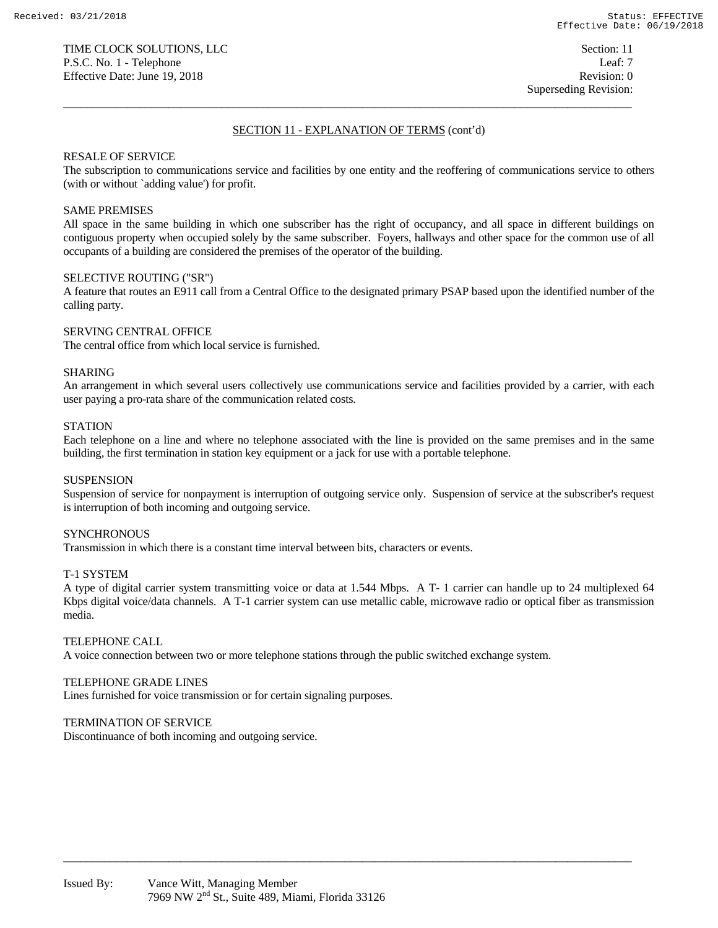$\overline{a_1}$  ,  $\overline{a_2}$  ,  $\overline{a_3}$  ,  $\overline{a_4}$  ,  $\overline{a_5}$  ,  $\overline{a_6}$  ,  $\overline{a_7}$  ,  $\overline{a_8}$  ,  $\overline{a_9}$  ,  $\overline{a_9}$  ,  $\overline{a_9}$  ,  $\overline{a_9}$  ,  $\overline{a_9}$  ,  $\overline{a_9}$  ,  $\overline{a_9}$  ,  $\overline{a_9}$  ,  $\overline{a_9}$  ,

### RESALE OF SERVICE

The subscription to communications service and facilities by one entity and the reoffering of communications service to others (with or without `adding value') for profit.

### SAME PREMISES

All space in the same building in which one subscriber has the right of occupancy, and all space in different buildings on contiguous property when occupied solely by the same subscriber. Foyers, hallways and other space for the common use of all occupants of a building are considered the premises of the operator of the building.

#### SELECTIVE ROUTING ("SR")

A feature that routes an E911 call from a Central Office to the designated primary PSAP based upon the identified number of the calling party.

# SERVING CENTRAL OFFICE

The central office from which local service is furnished.

#### SHARING

An arrangement in which several users collectively use communications service and facilities provided by a carrier, with each user paying a pro-rata share of the communication related costs.

#### **STATION**

Each telephone on a line and where no telephone associated with the line is provided on the same premises and in the same building, the first termination in station key equipment or a jack for use with a portable telephone.

#### **SUSPENSION**

Suspension of service for nonpayment is interruption of outgoing service only. Suspension of service at the subscriber's request is interruption of both incoming and outgoing service.

### **SYNCHRONOUS**

Transmission in which there is a constant time interval between bits, characters or events.

### T-1 SYSTEM

A type of digital carrier system transmitting voice or data at 1.544 Mbps. A T- 1 carrier can handle up to 24 multiplexed 64 Kbps digital voice/data channels. A T-1 carrier system can use metallic cable, microwave radio or optical fiber as transmission media.

 $\overline{a_1}$  ,  $\overline{a_2}$  ,  $\overline{a_3}$  ,  $\overline{a_4}$  ,  $\overline{a_5}$  ,  $\overline{a_6}$  ,  $\overline{a_7}$  ,  $\overline{a_8}$  ,  $\overline{a_9}$  ,  $\overline{a_9}$  ,  $\overline{a_9}$  ,  $\overline{a_9}$  ,  $\overline{a_9}$  ,  $\overline{a_9}$  ,  $\overline{a_9}$  ,  $\overline{a_9}$  ,  $\overline{a_9}$  ,

### TELEPHONE CALL

A voice connection between two or more telephone stations through the public switched exchange system.

### TELEPHONE GRADE LINES

Lines furnished for voice transmission or for certain signaling purposes.

### TERMINATION OF SERVICE

Discontinuance of both incoming and outgoing service.